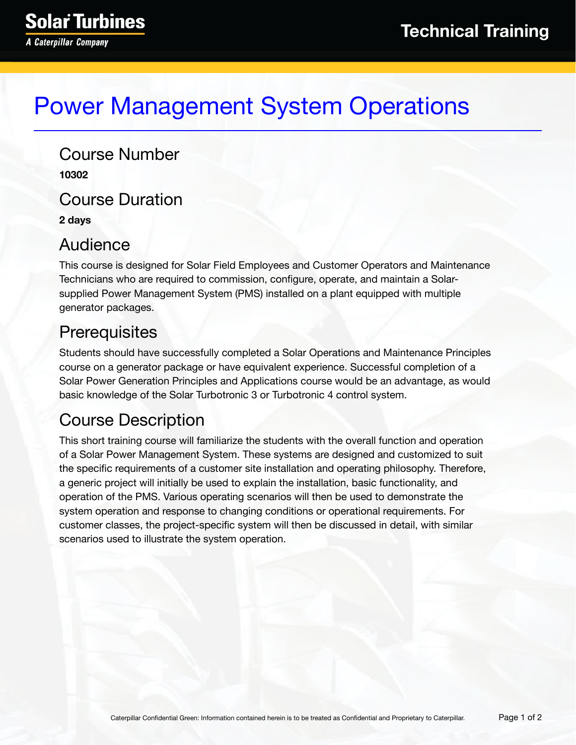# Power Management System Operations

Course Number **10302** Course Duration **2 days**

#### Audience

This course is designed for Solar Field Employees and Customer Operators and Maintenance Technicians who are required to commission, configure, operate, and maintain a Solarsupplied Power Management System (PMS) installed on a plant equipped with multiple generator packages.

## **Prerequisites**

Students should have successfully completed a Solar Operations and Maintenance Principles course on a generator package or have equivalent experience. Successful completion of a Solar Power Generation Principles and Applications course would be an advantage, as would basic knowledge of the Solar Turbotronic 3 or Turbotronic 4 control system.

## Course Description

This short training course will familiarize the students with the overall function and operation of a Solar Power Management System. These systems are designed and customized to suit the specific requirements of a customer site installation and operating philosophy. Therefore, a generic project will initially be used to explain the installation, basic functionality, and operation of the PMS. Various operating scenarios will then be used to demonstrate the system operation and response to changing conditions or operational requirements. For customer classes, the project-specific system will then be discussed in detail, with similar scenarios used to illustrate the system operation.